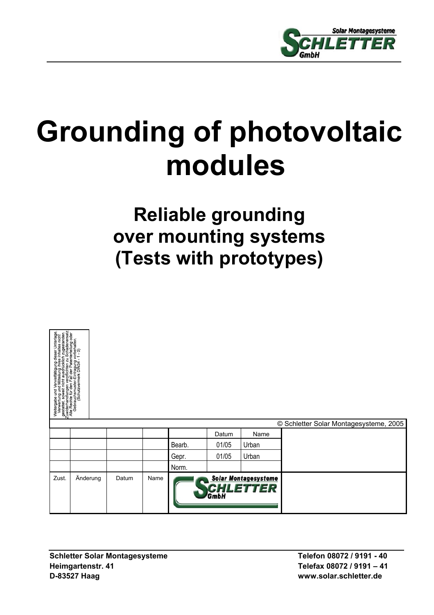

# **Grounding of photovoltaic modules**

## **Reliable grounding over mounting systems (Tests with prototypes)**

| Weilergabe und Verweifälligung dieser Unterlage.<br>Sestates Sowerin vir ausgrupp dieser Unterlage.<br>Sestates Sowerin vir ausgrupp in zugestanden.<br>Zuwelerchte für den regil der Paramaten ersätz.<br>Colorates in den regil der Para |          |       |      |                                                        |       |       | © Schletter Solar Montagesysteme, 2005 |
|--------------------------------------------------------------------------------------------------------------------------------------------------------------------------------------------------------------------------------------------|----------|-------|------|--------------------------------------------------------|-------|-------|----------------------------------------|
|                                                                                                                                                                                                                                            |          |       |      |                                                        | Datum | Name  |                                        |
|                                                                                                                                                                                                                                            |          |       |      | Bearb.                                                 | 01/05 | Urban |                                        |
|                                                                                                                                                                                                                                            |          |       |      | Gepr.                                                  | 01/05 | Urban |                                        |
|                                                                                                                                                                                                                                            |          |       |      | Norm.                                                  |       |       |                                        |
| Zust.                                                                                                                                                                                                                                      | Änderung | Datum | Name | <b>Solar Montagesysteme</b><br><b>CHLETTER</b><br>GmbH |       |       |                                        |

Schletter Solar Montagesysteme Telefon 08072 / 9191 - 40 **Heimgartenstr. 41 Telefax 08072 / 9191 – 41 D-83527 Haag www.solar.schletter.de**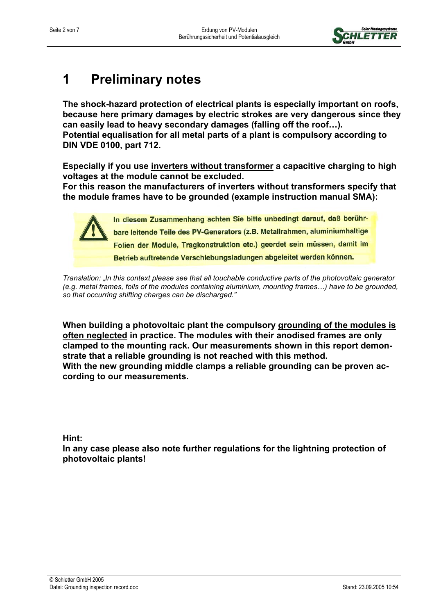

## **1** Preliminary notes

**The shock-hazard protection of electrical plants is especially important on roofs, because here primary damages by electric strokes are very dangerous since they can easily lead to heavy secondary damages (falling off the roof…). Potential equalisation for all metal parts of a plant is compulsory according to DIN VDE 0100, part 712.** 

**Especially if you use inverters without transformer a capacitive charging to high voltages at the module cannot be excluded.** 

**For this reason the manufacturers of inverters without transformers specify that the module frames have to be grounded (example instruction manual SMA):** 

> In diesem Zusammenhang achten Sie bitte unbedingt darauf, daß berührbare leitende Teile des PV-Generators (z.B. Metallrahmen, aluminiumhaltige Folien der Module, Tragkonstruktion etc.) geerdet sein müssen, damit im Betrieb auftretende Verschiebungsladungen abgeleitet werden können.

*Translation: "In this context please see that all touchable conductive parts of the photovoltaic generator (e.g. metal frames, foils of the modules containing aluminium, mounting frames…) have to be grounded, so that occurring shifting charges can be discharged."*

**When building a photovoltaic plant the compulsory grounding of the modules is often neglected in practice. The modules with their anodised frames are only clamped to the mounting rack. Our measurements shown in this report demonstrate that a reliable grounding is not reached with this method. With the new grounding middle clamps a reliable grounding can be proven according to our measurements.** 

**Hint:** 

**In any case please also note further regulations for the lightning protection of photovoltaic plants!**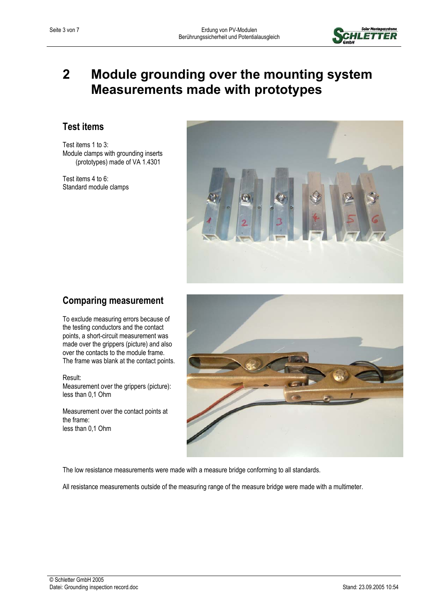

### **2 Module grounding over the mounting system Measurements made with prototypes**

#### **Test items**

Test items 1 to 3: Module clamps with grounding inserts (prototypes) made of VA 1.4301

Test items 4 to 6: Standard module clamps



#### **Comparing measurement**

To exclude measuring errors because of the testing conductors and the contact points, a short-circuit measurement was made over the grippers (picture) and also over the contacts to the module frame. The frame was blank at the contact points.

Result: Measurement over the grippers (picture): less than 0,1 Ohm

Measurement over the contact points at the frame: less than 0,1 Ohm



The low resistance measurements were made with a measure bridge conforming to all standards.

All resistance measurements outside of the measuring range of the measure bridge were made with a multimeter.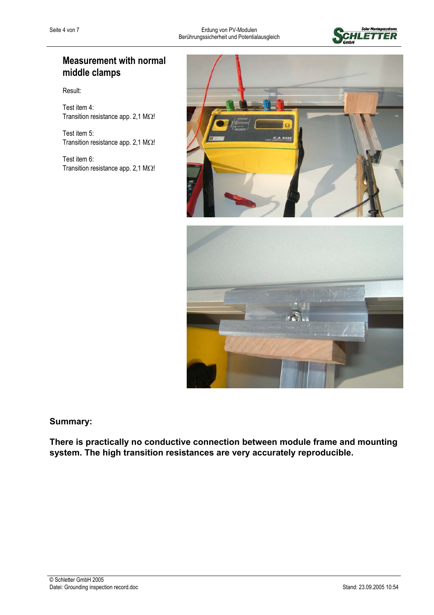

#### **Measurement with normal middle clamps**

Result:

Test item 4: Transition resistance app. 2,1 MΩ!

Test item 5: Transition resistance app. 2,1 MΩ!

Test item 6: Transition resistance app. 2,1 MΩ!



**Summary:** 

**There is practically no conductive connection between module frame and mounting system. The high transition resistances are very accurately reproducible.**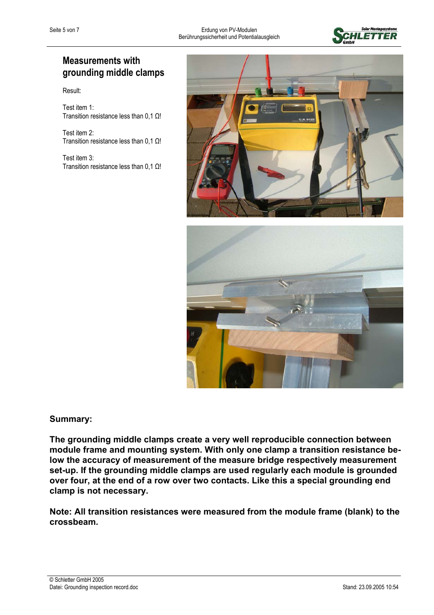

#### **Measurements with grounding middle clamps**

Result:

Test item 1: Transition resistance less than 0,1 Ω!

Test item 2: Transition resistance less than 0,1 Ω!

Test item 3: Transition resistance less than 0,1 Ω!





#### **Summary:**

**The grounding middle clamps create a very well reproducible connection between module frame and mounting system. With only one clamp a transition resistance below the accuracy of measurement of the measure bridge respectively measurement set-up. If the grounding middle clamps are used regularly each module is grounded over four, at the end of a row over two contacts. Like this a special grounding end clamp is not necessary.** 

**Note: All transition resistances were measured from the module frame (blank) to the crossbeam.**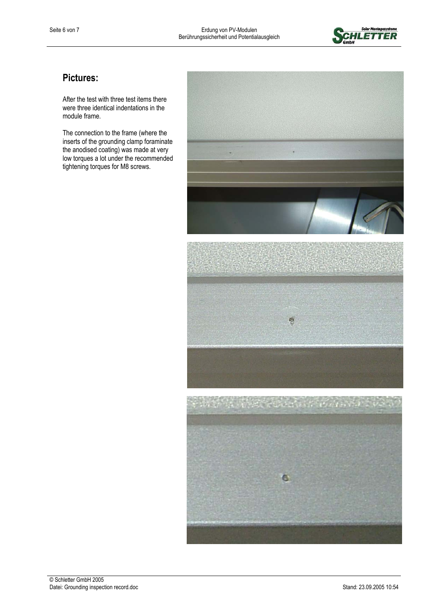

#### **Pictures:**

After the test with three test items there were three identical indentations in the module frame.

The connection to the frame (where the inserts of the grounding clamp foraminate the anodised coating) was made at very low torques a lot under the recommended tightening torques for M8 screws.